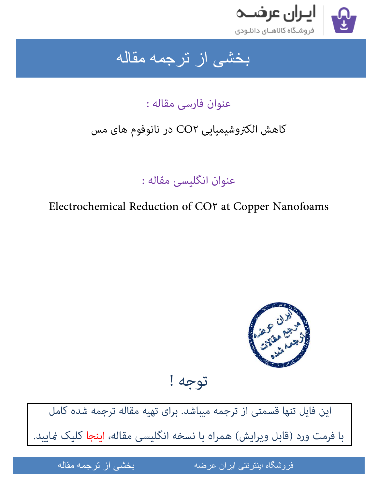

ِ بخشی از ترجمه مقاله

عنوان فارسی مقاله :

## کاهش الکتروشیمیایی ٢CO در نانوفوم های مس

عنوان انگلیسی مقاله :

Electrochemical Reduction of CO٢ at Copper Nanofoams



توجه !

[این فایل تنها قسمتی از ترجمه میباشد. برای تهیه مقاله ترجمه شده کامل](http://iranarze.ir/electrochemical+reduction+co2+copper+nanofoams)  با فرمت ورد (قابل ویرایش) همراه با نسخه انگلیسی مقاله، ا**ینجا** کلیک غایید.

مقاله من المستخدم المستخدم

فروشگاه اینترنتی ایران عرضه می است از از باز نوان از اینترنتی ایران عرضه است است از این نوعه مقالمه